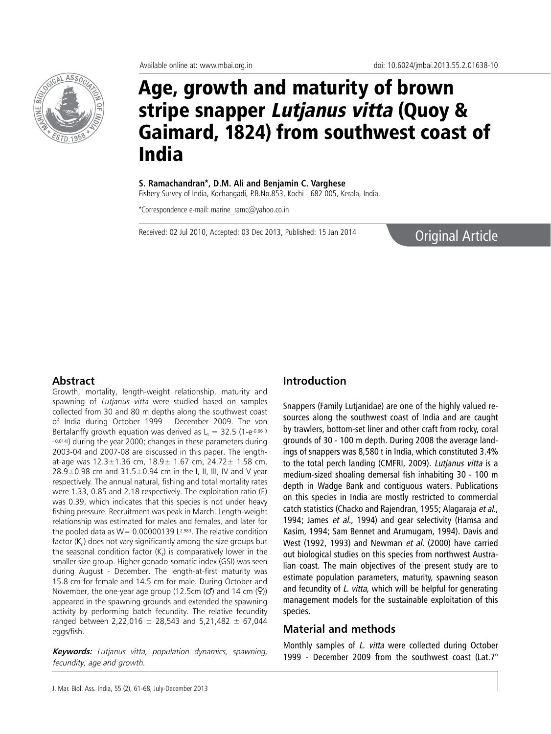

# Age, growth and maturity of brown stripe snapper Lutjanus vitta (Quoy & Gaimard, 1824) from southwest coast of India

**S. Ramachandran\*, D.M. Ali and Benjamin C. Varghese**

Fishery Survey of India, Kochangadi, P.B.No.853, Kochi - 682 005, Kerala, India.

\*Correspondence e-mail: marine\_ramc@yahoo.co.in

Received: 02 Jul 2010, Accepted: 03 Dec 2013, Published: 15 Jan 2014

## Original Article

#### **Abstract**

Growth, mortality, length-weight relationship, maturity and spawning of Lutjanus vitta were studied based on samples collected from 30 and 80 m depths along the southwest coast of India during October 1999 - December 2009. The von Bertalanffy growth equation was derived as  $L_t = 32.5$  (1-e-0.66 (t - 0.014)) during the year 2000; changes in these parameters during 2003-04 and 2007-08 are discussed in this paper. The lengthat-age was  $12.3 \pm 1.36$  cm,  $18.9 \pm 1.67$  cm,  $24.72 \pm 1.58$  cm,  $28.9\pm0.98$  cm and  $31.5\pm0.94$  cm in the I, II, III, IV and V year respectively. The annual natural, fishing and total mortality rates were 1.33, 0.85 and 2.18 respectively. The exploitation ratio (E) was 0.39, which indicates that this species is not under heavy fishing pressure. Recruitment was peak in March. Length-weight relationship was estimated for males and females, and later for the pooled data as  $W= 0.00000139$  L<sup>2.983</sup>. The relative condition factor  $(K_n)$  does not vary significantly among the size groups but the seasonal condition factor  $(K<sub>s</sub>)$  is comparatively lower in the smaller size group. Higher gonado-somatic index (GSI) was seen during August - December. The length-at-first maturity was 15.8 cm for female and 14.5 cm for male. During October and November, the one-year age group (12.5cm  $\langle O \rangle$  and 14 cm  $\langle O \rangle$ ) appeared in the spawning grounds and extended the spawning activity by performing batch fecundity. The relative fecundity ranged between 2,22,016  $\pm$  28,543 and 5,21,482  $\pm$  67,044 eggs/fish.

**Keywords:** Lutjanus vitta, population dynamics, spawning, fecundity, age and growth.

#### **Introduction**

Snappers (Family Lutjanidae) are one of the highly valued resources along the southwest coast of India and are caught by trawlers, bottom-set liner and other craft from rocky, coral grounds of 30 - 100 m depth. During 2008 the average landings of snappers was 8,580 t in India, which constituted 3.4% to the total perch landing (CMFRI, 2009). Lutjanus vitta is a medium-sized shoaling demersal fish inhabiting 30 - 100 m depth in Wadge Bank and contiguous waters. Publications on this species in India are mostly restricted to commercial catch statistics (Chacko and Rajendran, 1955; Alagaraja et al., 1994; James et al., 1994) and gear selectivity (Hamsa and Kasim, 1994; Sam Bennet and Arumugam, 1994). Davis and West (1992, 1993) and Newman et al. (2000) have carried out biological studies on this species from northwest Australian coast. The main objectives of the present study are to estimate population parameters, maturity, spawning season and fecundity of L. vitta, which will be helpful for generating management models for the sustainable exploitation of this species.

#### **Material and methods**

Monthly samples of L. vitta were collected during October 1999 - December 2009 from the southwest coast (Lat.7°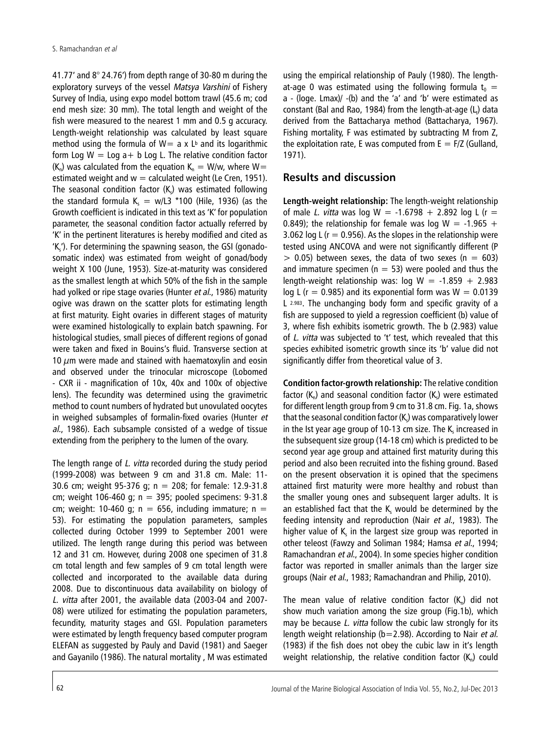41.77' and 8° 24.76') from depth range of 30-80 m during the exploratory surveys of the vessel Matsya Varshini of Fishery Survey of India, using expo model bottom trawl (45.6 m; cod end mesh size: 30 mm). The total length and weight of the fish were measured to the nearest 1 mm and 0.5 g accuracy. Length-weight relationship was calculated by least square method using the formula of  $W=$  a x  $L<sup>b</sup>$  and its logarithmic form Log  $W =$  Log a + b Log L. The relative condition factor  $(K_n)$  was calculated from the equation  $K_n = W/w$ , where  $W=$ estimated weight and  $w =$  calculated weight (Le Cren, 1951). The seasonal condition factor  $(K<sub>k</sub>)$  was estimated following the standard formula  $K_s = w/L3$  \*100 (Hile, 1936) (as the Growth coefficient is indicated in this text as 'K' for population parameter, the seasonal condition factor actually referred by 'K' in the pertinent literatures is hereby modified and cited as  $K<sub>s</sub>$ ). For determining the spawning season, the GSI (gonadosomatic index) was estimated from weight of gonad/body weight X 100 (June, 1953). Size-at-maturity was considered as the smallest length at which 50% of the fish in the sample had yolked or ripe stage ovaries (Hunter et al., 1986) maturity ogive was drawn on the scatter plots for estimating length at first maturity. Eight ovaries in different stages of maturity were examined histologically to explain batch spawning. For histological studies, small pieces of different regions of gonad were taken and fixed in Bouins's fluid. Transverse section at 10  $\mu$ m were made and stained with haematoxylin and eosin and observed under the trinocular microscope (Lobomed - CXR ii - magnification of 10x, 40x and 100x of objective lens). The fecundity was determined using the gravimetric method to count numbers of hydrated but unovulated oocytes in weighed subsamples of formalin-fixed ovaries (Hunter et al., 1986). Each subsample consisted of a wedge of tissue extending from the periphery to the lumen of the ovary.

The length range of L. vitta recorded during the study period (1999-2008) was between 9 cm and 31.8 cm. Male: 11- 30.6 cm; weight 95-376 g; n = 208; for female: 12.9-31.8 cm; weight 106-460 g;  $n = 395$ ; pooled specimens: 9-31.8 cm; weight: 10-460 g;  $n = 656$ , including immature;  $n =$ 53). For estimating the population parameters, samples collected during October 1999 to September 2001 were utilized. The length range during this period was between 12 and 31 cm. However, during 2008 one specimen of 31.8 cm total length and few samples of 9 cm total length were collected and incorporated to the available data during 2008. Due to discontinuous data availability on biology of L. vitta after 2001, the available data (2003-04 and 2007- 08) were utilized for estimating the population parameters, fecundity, maturity stages and GSI. Population parameters were estimated by length frequency based computer program ELEFAN as suggested by Pauly and David (1981) and Saeger and Gayanilo (1986). The natural mortality , M was estimated

using the empirical relationship of Pauly (1980). The lengthat-age 0 was estimated using the following formula  $t_0 =$ a - (loge. Lmax)/ -(b) and the 'a' and 'b' were estimated as constant (Bal and Rao, 1984) from the length-at-age  $(L_i)$  data derived from the Battacharya method (Battacharya, 1967). Fishing mortality, F was estimated by subtracting M from Z, the exploitation rate, E was computed from  $E = F/Z$  (Gulland, 1971).

### **Results and discussion**

**Length-weight relationship:** The length-weight relationship of male L. vitta was log W =  $-1.6798 + 2.892$  log L (r = 0.849); the relationship for female was log  $W = -1.965 +$ 3.062 log L ( $r = 0.956$ ). As the slopes in the relationship were tested using ANCOVA and were not significantly different (P  $> 0.05$ ) between sexes, the data of two sexes (n = 603) and immature specimen ( $n = 53$ ) were pooled and thus the length-weight relationship was: log  $W = -1.859 + 2.983$ log L ( $r = 0.985$ ) and its exponential form was  $W = 0.0139$ L 2.983. The unchanging body form and specific gravity of a fish are supposed to yield a regression coefficient (b) value of 3, where fish exhibits isometric growth. The b (2.983) value of L. vitta was subjected to 't' test, which revealed that this species exhibited isometric growth since its 'b' value did not significantly differ from theoretical value of 3.

**Condition factor-growth relationship:** The relative condition factor  $(K_n)$  and seasonal condition factor  $(K_n)$  were estimated for different length group from 9 cm to 31.8 cm. Fig. 1a, shows that the seasonal condition factor  $(K<sub>c</sub>)$  was comparatively lower in the Ist year age group of 10-13 cm size. The  $K<sub>s</sub>$  increased in the subsequent size group (14-18 cm) which is predicted to be second year age group and attained first maturity during this period and also been recruited into the fishing ground. Based on the present observation it is opined that the specimens attained first maturity were more healthy and robust than the smaller young ones and subsequent larger adults. It is an established fact that the  $K_s$  would be determined by the feeding intensity and reproduction (Nair et al., 1983). The higher value of  $K<sub>s</sub>$  in the largest size group was reported in other teleost (Fawzy and Soliman 1984; Hamsa et al., 1994; Ramachandran et al., 2004). In some species higher condition factor was reported in smaller animals than the larger size groups (Nair et al., 1983; Ramachandran and Philip, 2010).

The mean value of relative condition factor  $(K_n)$  did not show much variation among the size group (Fig.1b), which may be because L. vitta follow the cubic law strongly for its length weight relationship (b=2.98). According to Nair et al. (1983) if the fish does not obey the cubic law in it's length weight relationship, the relative condition factor  $(K_n)$  could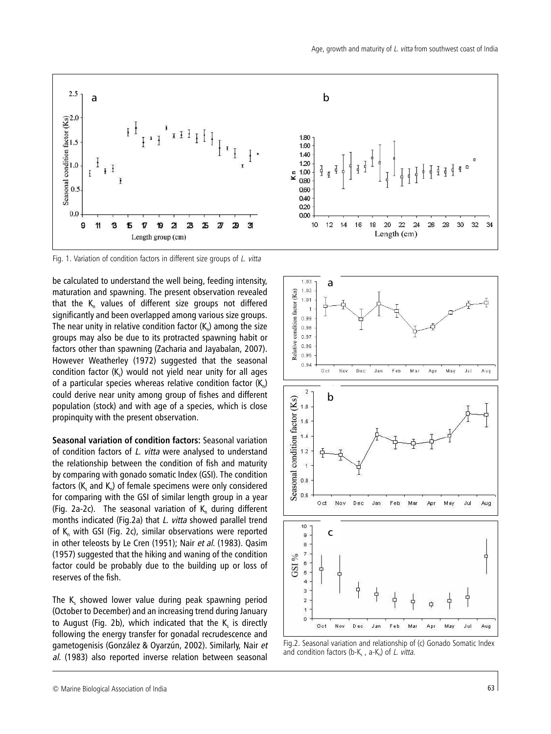

Fig. 1. Variation of condition factors in different size groups of L. vitta

be calculated to understand the well being, feeding intensity, maturation and spawning. The present observation revealed that the  $K_n$  values of different size groups not differed significantly and been overlapped among various size groups. The near unity in relative condition factor  $(K_n)$  among the size groups may also be due to its protracted spawning habit or factors other than spawning (Zacharia and Jayabalan, 2007). However Weatherley (1972) suggested that the seasonal condition factor  $(K<sub>s</sub>)$  would not yield near unity for all ages of a particular species whereas relative condition factor  $(K_n)$ could derive near unity among group of fishes and different population (stock) and with age of a species, which is close propinquity with the present observation.

**Seasonal variation of condition factors:** Seasonal variation of condition factors of *L. vitta* were analysed to understand the relationship between the condition of fish and maturity by comparing with gonado somatic Index (GSI). The condition factors ( $K<sub>s</sub>$  and  $K<sub>n</sub>$ ) of female specimens were only considered for comparing with the GSI of similar length group in a year (Fig. 2a-2c). The seasonal variation of  $K_n$  during different months indicated (Fig.2a) that L. vitta showed parallel trend of  $K_n$  with GSI (Fig. 2c), similar observations were reported in other teleosts by Le Cren (1951); Nair et al. (1983). Qasim (1957) suggested that the hiking and waning of the condition factor could be probably due to the building up or loss of reserves of the fish.

The K<sub>s</sub> showed lower value during peak spawning period (October to December) and an increasing trend during January to August (Fig. 2b), which indicated that the  $K_s$  is directly following the energy transfer for gonadal recrudescence and gametogenisis (González & Oyarzún, 2002). Similarly, Nair et al. (1983) also reported inverse relation between seasonal



Fig.2. Seasonal variation and relationship of (c) Gonado Somatic Index and condition factors (b-K<sub>s</sub>, a-K<sub>n</sub>) of *L. vitta.*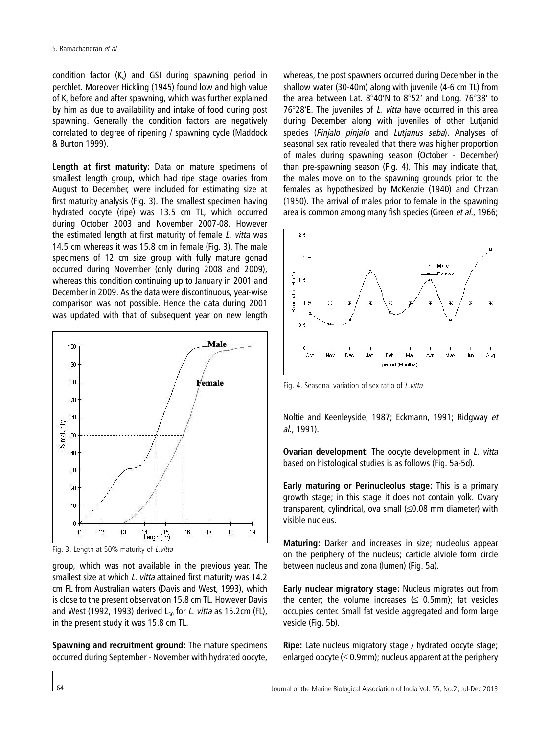$\alpha$  condition factor  $(K<sub>2</sub>)$  and GSI during spawning period in perchlet. Moreover Hickling (1945) found low and high value of K, before and after spawning, which was further explained by him as due to availability and intake of food during post spawning. Generally the condition factors are negatively correlated to degree of ripening / spawning cycle (Maddock & Burton 1999).

**Length at first maturity:** Data on mature specimens of smallest length group, which had ripe stage ovaries from August to December, were included for estimating size at first maturity analysis (Fig. 3). The smallest specimen having hydrated oocyte (ripe) was 13.5 cm TL, which occurred during October 2003 and November 2007-08. However the estimated length at first maturity of female L. vitta was 14.5 cm whereas it was 15.8 cm in female (Fig. 3). The male specimens of 12 cm size group with fully mature gonad occurred during November (only during 2008 and 2009), whereas this condition continuing up to January in 2001 and December in 2009. As the data were discontinuous, year-wise comparison was not possible. Hence the data during 2001 was updated with that of subsequent year on new length



Fig. 3. Length at 50% maturity of L.vitta

group, which was not available in the previous year. The smallest size at which *L. vitta* attained first maturity was 14.2 cm FL from Australian waters (Davis and West, 1993), which is close to the present observation 15.8 cm TL. However Davis and West (1992, 1993) derived  $L_{50}$  for L. vitta as 15.2cm (FL), in the present study it was 15.8 cm TL.

**Spawning and recruitment ground:** The mature specimens occurred during September - November with hydrated oocyte,

whereas, the post spawners occurred during December in the shallow water (30-40m) along with juvenile (4-6 cm TL) from the area between Lat. 8°40'N to 8°52' and Long. 76°38' to 76°28'E. The juveniles of L. vitta have occurred in this area during December along with juveniles of other Lutjanid species (Pinjalo pinjalo and Lutjanus seba). Analyses of seasonal sex ratio revealed that there was higher proportion of males during spawning season (October - December) than pre-spawning season (Fig. 4). This may indicate that, the males move on to the spawning grounds prior to the females as hypothesized by McKenzie (1940) and Chrzan (1950). The arrival of males prior to female in the spawning area is common among many fish species (Green et al., 1966;



Fig. 4. Seasonal variation of sex ratio of L.vitta

Noltie and Keenleyside, 1987; Eckmann, 1991; Ridgway et al., 1991).

**Ovarian development:** The oocyte development in *L. vitta* based on histological studies is as follows (Fig. 5a-5d).

**Early maturing or Perinucleolus stage:** This is a primary growth stage; in this stage it does not contain yolk. Ovary transparent, cylindrical, ova small (≤0.08 mm diameter) with visible nucleus.

**Maturing:** Darker and increases in size; nucleolus appear on the periphery of the nucleus; carticle alviole form circle between nucleus and zona (lumen) (Fig. 5a).

**Early nuclear migratory stage:** Nucleus migrates out from the center; the volume increases  $(\leq 0.5$ mm); fat vesicles occupies center. Small fat vesicle aggregated and form large vesicle (Fig. 5b).

**Ripe:** Late nucleus migratory stage / hydrated oocyte stage; enlarged oocyte  $(\leq 0.9$ mm); nucleus apparent at the periphery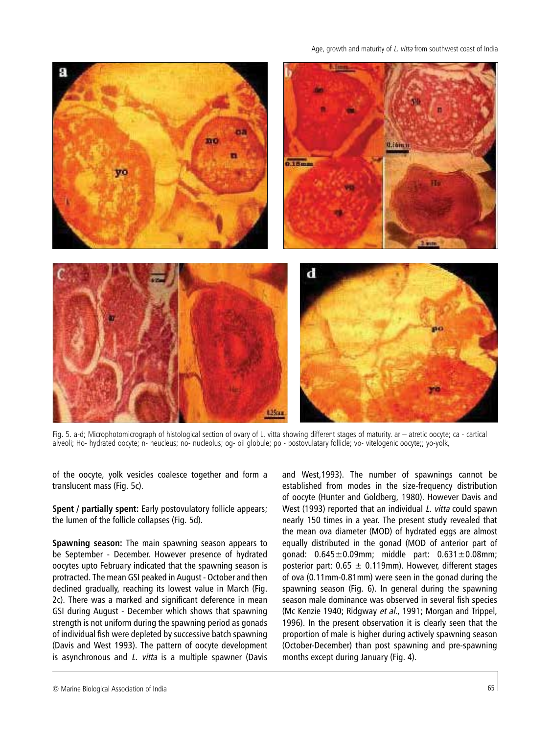

Fig. 5. a-d; Microphotomicrograph of histological section of ovary of L. vitta showing different stages of maturity. ar – atretic oocyte; ca - cartical alveoli; Ho- hydrated oocyte; n- neucleus; no- nucleolus; og- oil globule; po - postovulatary follicle; vo- vitelogenic oocyte;; yo-yolk,

of the oocyte, yolk vesicles coalesce together and form a translucent mass (Fig. 5c).

**Spent / partially spent:** Early postovulatory follicle appears; the lumen of the follicle collapses (Fig. 5d).

**Spawning season:** The main spawning season appears to be September - December. However presence of hydrated oocytes upto February indicated that the spawning season is protracted. The mean GSI peaked in August - October and then declined gradually, reaching its lowest value in March (Fig. 2c). There was a marked and significant deference in mean GSI during August - December which shows that spawning strength is not uniform during the spawning period as gonads of individual fish were depleted by successive batch spawning (Davis and West 1993). The pattern of oocyte development is asynchronous and *L. vitta* is a multiple spawner (Davis and West,1993). The number of spawnings cannot be established from modes in the size-frequency distribution of oocyte (Hunter and Goldberg, 1980). However Davis and West (1993) reported that an individual L. vitta could spawn nearly 150 times in a year. The present study revealed that the mean ova diameter (MOD) of hydrated eggs are almost equally distributed in the gonad (MOD of anterior part of gonad: 0.645±0.09mm; middle part: 0.631±0.08mm; posterior part:  $0.65 \pm 0.119$ mm). However, different stages of ova (0.11mm-0.81mm) were seen in the gonad during the spawning season (Fig. 6). In general during the spawning season male dominance was observed in several fish species (Mc Kenzie 1940; Ridgway et al., 1991; Morgan and Trippel, 1996). In the present observation it is clearly seen that the proportion of male is higher during actively spawning season (October-December) than post spawning and pre-spawning months except during January (Fig. 4).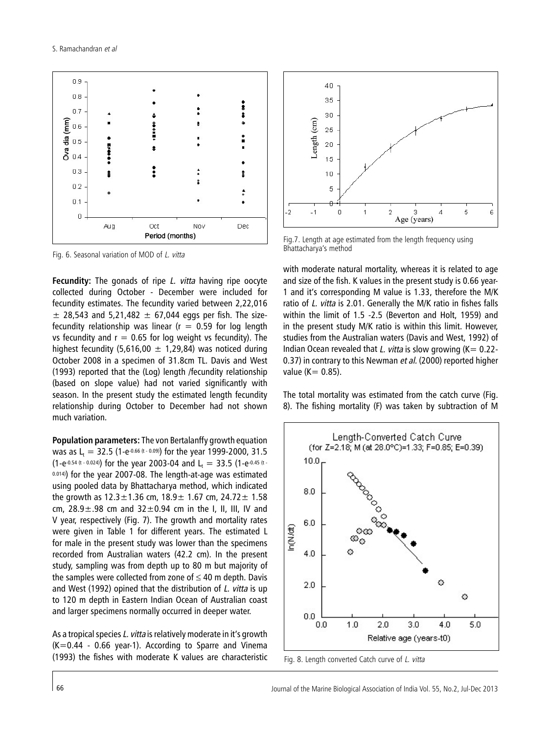

Fig. 6. Seasonal variation of MOD of L. vitta

**Fecundity:** The gonads of ripe L. vitta having ripe oocyte collected during October - December were included for fecundity estimates. The fecundity varied between 2,22,016  $±$  28,543 and 5,21,482  $±$  67,044 eggs per fish. The sizefecundity relationship was linear ( $r = 0.59$  for log length vs fecundity and  $r = 0.65$  for log weight vs fecundity). The highest fecundity (5,616,00  $\pm$  1,29,84) was noticed during October 2008 in a specimen of 31.8cm TL. Davis and West (1993) reported that the (Log) length /fecundity relationship (based on slope value) had not varied significantly with season. In the present study the estimated length fecundity relationship during October to December had not shown much variation.

**Population parameters:** The von Bertalanffy growth equation was as L<sub>t</sub> = 32.5 (1-e<sup>-0.66 (t - 0.09)</sup>) for the year 1999-2000, 31.5 (1-e-0.54 (t - 0.024)) for the year 2003-04 and  $L_t = 33.5$  (1-e-0.45 (t -0.014)) for the year 2007-08. The length-at-age was estimated using pooled data by Bhattacharya method, which indicated the growth as  $12.3 \pm 1.36$  cm,  $18.9 \pm 1.67$  cm,  $24.72 \pm 1.58$ cm,  $28.9 \pm .98$  cm and  $32 \pm 0.94$  cm in the I, II, III, IV and V year, respectively (Fig. 7). The growth and mortality rates were given in Table 1 for different years. The estimated L for male in the present study was lower than the specimens recorded from Australian waters (42.2 cm). In the present study, sampling was from depth up to 80 m but majority of the samples were collected from zone of  $\leq 40$  m depth. Davis and West (1992) opined that the distribution of L. vitta is up to 120 m depth in Eastern Indian Ocean of Australian coast and larger specimens normally occurred in deeper water.

As a tropical species L. vitta is relatively moderate in it's growth  $(K=0.44 - 0.66$  year-1). According to Sparre and Vinema (1993) the fishes with moderate K values are characteristic



Fig.7. Length at age estimated from the length frequency using Bhattacharya's method

with moderate natural mortality, whereas it is related to age and size of the fish. K values in the present study is 0.66 year-1 and it's corresponding M value is 1.33, therefore the M/K ratio of L. vitta is 2.01. Generally the M/K ratio in fishes falls within the limit of 1.5 -2.5 (Beverton and Holt, 1959) and in the present study M/K ratio is within this limit. However, studies from the Australian waters (Davis and West, 1992) of Indian Ocean revealed that L. vitta is slow growing ( $K= 0.22$ -0.37) in contrary to this Newman et al. (2000) reported higher value ( $K = 0.85$ ).

The total mortality was estimated from the catch curve (Fig. 8). The fishing mortality (F) was taken by subtraction of M



Fig. 8. Length converted Catch curve of L. vitta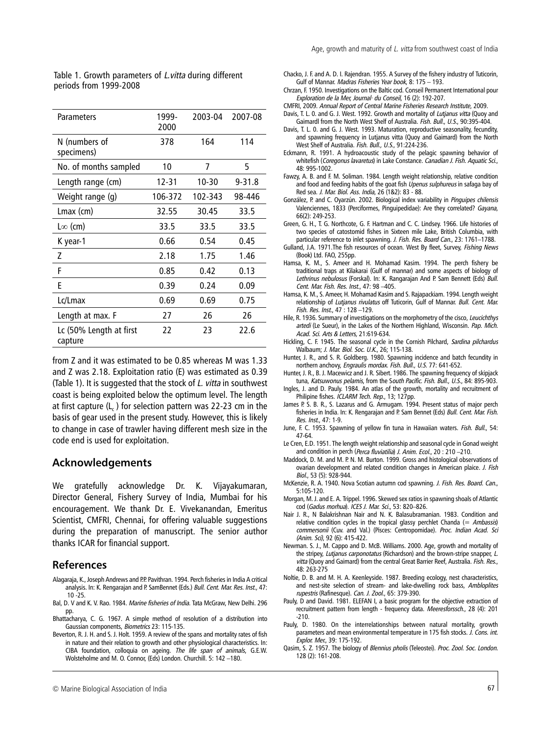| Parameters                         | 1999-<br>2000 | 2003-04 | 2007-08    |
|------------------------------------|---------------|---------|------------|
| N (numbers of<br>specimens)        | 378           | 164     | 114        |
| No. of months sampled              | 10            | 7       | 5          |
| Length range (cm)                  | $12 - 31$     | 10-30   | $9 - 31.8$ |
| Weight range (g)                   | 106-372       | 102-343 | 98-446     |
| $Lmax$ (cm)                        | 32.55         | 30.45   | 33.5       |
| L $\infty$ (cm)                    | 33.5          | 33.5    | 33.5       |
| K year-1                           | 0.66          | 0.54    | 0.45       |
| 7                                  | 2.18          | 1.75    | 1.46       |
| F                                  | 0.85          | 0.42    | 0.13       |
| E                                  | 0.39          | 0.24    | 0.09       |
| Lc/Lmax                            | 0.69          | 0.69    | 0.75       |
| Length at max. F                   | 27            | 26      | 26         |
| Lc (50% Length at first<br>capture | 22            | 23      | 22.6       |
|                                    |               |         |            |

Table 1. Growth parameters of *L. vitta* during different periods from 1999-2008

from Z and it was estimated to be 0.85 whereas M was 1.33 and Z was 2.18. Exploitation ratio (E) was estimated as 0.39 (Table 1). It is suggested that the stock of L. vitta in southwest coast is being exploited below the optimum level. The length at first capture  $(L_c)$  for selection pattern was 22-23 cm in the basis of gear used in the present study. However, this is likely to change in case of trawler having different mesh size in the code end is used for exploitation.

#### **Acknowledgements**

We gratefully acknowledge Dr. K. Vijayakumaran, Director General, Fishery Survey of India, Mumbai for his encouragement. We thank Dr. E. Vivekanandan, Emeritus Scientist, CMFRI, Chennai, for offering valuable suggestions during the preparation of manuscript. The senior author thanks ICAR for financial support.

#### **References**

- Alagaraja, K., Joseph Andrews and P.P. Pavithran. 1994. Perch fisheries in India A critical analysis. In: K. Rengarajan and P. SamBennet (Eds.) Bull. Cent. Mar. Res. Inst., 47: 10 -25.
- Bal, D. V and K. V. Rao. 1984. Marine fisheries of India. Tata McGraw, New Delhi. 296 pp.
- Bhattacharya, C. G. 1967. A simple method of resolution of a distribution into Gaussian components, Biometrics 23: 115-135.
- Beverton, R. J. H. and S. J. Holt. 1959. A review of the spans and mortality rates of fish in nature and their relation to growth and other physiological characteristics. In: CIBA foundation, colloquia on ageing. The life span of animals, G.E.W. Wolsteholme and M. O. Connor, (Eds) London. Churchill. 5: 142 –180.
- Chacko, J. F. and A. D. I. Rajendran. 1955. A Survey of the fishery industry of Tuticorin, Gulf of Mannar. Madras Fisheries Year book, 8: 175 – 193.
- Chrzan, F. 1950. Investigations on the Baltic cod. Conseil Permanent International pour Exploration de la Mer, Journal· du Conseil, 16 (2): 192-207.
- CMFRI, 2009. Annual Report of Central Marine Fisheries Research Institute, 2009. Davis, T. L. 0. and G. J. West. 1992. Growth and mortality of Lutjanus vitta (Quoy and
- Gaimardl from the North West Shelf of Australia. Fish. Bull., U.S., 90:395-404. Davis, T. L. 0. and G. J. West. 1993. Maturation, reproductive seasonality, fecundity,
- and spawning frequency in Lutjanus vitta (Quoy and Gaimard) from the North West Shelf of Australia. Fish. Bull., U.S., 91:224-236.
- Eckmann, R. 1991. A hydroacoustic study of the pelagic spawning behavior of whitefish (Coregonus lavaretus) in Lake Constance. Canadian J. Fish. Aquatic Sci., 48: 995-1002.
- Fawzy, A. B. and F. M. Soliman. 1984. Length weight relationship, relative condition and food and feeding habits of the goat fish Upenus sulphureus in safaga bay of Red sea. J. Mar. Biol. Ass. India, 26 (1&2): 83 - 88.
- González, P. and C. Oyarzún. 2002. Biological index variability in Pinguipes chilensis Valenciennes, 1833 (Perciformes, Pinguipedidae): Are they correlated? Gayana, 66(2): 249-253.
- Green, G. H., T. G. Northcote, G. F. Hartman and C. C. Lindsey. 1966. Life histories of two species of catostomid fishes in Sixteen mile Lake, British Columbia, with particular reference to inlet spawning. J. Fish. Res. Board Can., 23: 1761-1788.
- Gulland, J.A. 1971.The fish resources of ocean. West By fleet, Survey, Fishing News (Book) Ltd. FAO, 255pp.
- Hamsa, K. M., S. Ameer and H. Mohamad Kasim. 1994. The perch fishery be traditional traps at Kilakarai (Gulf of mannar) and some aspects of biology of Lethrinus nebulosus (Forskal). In: K. Rangarajan And P. Sam Bennett (Eds) Bull. Cent. Mar. Fish. Res. Inst., 47: 98 –405.
- Hamsa, K. M., S. Ameer, H. Mohamad Kasim and S. Rajapackiam. 1994. Length weight relationship of Lutjanus rivulatus off Tuticorin, Gulf of Mannar. Bull. Cent. Mar. Fish. Res. Inst., 47 : 128 –129.
- Hile, R. 1936. Summary of investigations on the morphometry of the cisco, Leucichthys artedi (Le Sueur), in the Lakes of the Northern Highland, Wisconsin. Pap. Mich. Acad. Sci. Arts & Letters, 21:619-634.
- Hickling, C. F. 1945. The seasonal cycle in the Cornish Pilchard, Sardina pilchardus Walbaum; J. Mar. Biol. Soc. U.K., 26; 115-138.
- Hunter, J. R., and S. R. Goldberg. 1980. Spawning incidence and batch fecundity in northern anchovy, Engraulis mordax. Fish. Bull., U.S. 77: 641-652.
- Hunter, J. R., B. J. Macewicz and J. R. Sibert. 1986. The spawning frequency of skipjack tuna, Katsuwonus pelamis, from the South Pacific. Fish. Bull., U.S., 84: 895-903.
- Ingles, J. and D. Pauly. 1984. An atlas of the growth, mortality and recruitment of Philipine fishes. ICLARM Tech. Rep., 13; 127pp.
- James P. S. B. R., S. Lazarus and G. Armugam. 1994. Present status of major perch fisheries in India. In: K. Rengarajan and P. Sam Bennet (Eds) Bull. Cent. Mar. Fish. Res. Inst., 47: 1-9.
- June, F. C. 1953. Spawning of yellow fin tuna in Hawaiian waters. Fish. Bull., 54:  $47 - 64$
- Le Cren, E.D. 1951. The length weight relationship and seasonal cycle in Gonad weight and condition in perch (Perca fluviatilia) J. Anim. Ecol., 20: 210-210.
- Maddock, D. M. and M. P. N. M. Burton. 1999. Gross and histological observations of ovarian development and related condition changes in American plaice. J. Fish Biol., 53 (5): 928-944.
- McKenzie, R. A. 1940. Nova Scotian autumn cod spawning. J. Fish. Res. Board. Can., 5:105-120.
- Morgan, M. J. and E. A. Trippel. 1996. Skewed sex ratios in spawning shoals of Atlantic cod (Gadus morhua). ICES J. Mar. Sci., 53: 820–826.
- Nair J. R., N Balakrishnan Nair and N. K. Balasubramanian. 1983. Condition and relative condition cycles in the tropical glassy perchlet Chanda  $(= Ambassis)$ commersonii (Cuv. and Val.) (Pisces: Centropomidae). Proc. Indian Acad. Sci (Anim. Sci), 92 (6): 415-422.
- Newman. S. J., M. Cappo and D. McB. Williams. 2000. Age, growth and mortality of the stripey, Lutjanus carponotatus (Richardson) and the brown-stripe snapper, L. vitta (Quoy and Gaimard) from the central Great Barrier Reef, Australia. Fish. Res., 48: 263-275
- Noltie, D. B. and M. H. A. Keenleyside. 1987. Breeding ecology, nest characteristics, and nest-site selection of stream- and lake-dwelling rock bass, Ambloplites rupestris (Rafinesque). Can. J. Zool., 65: 379-390.
- Pauly, D and David. 1981. ELEFAN I, a basic program for the objective extraction of recruitment pattern from length - frequency data. Meeresforssch., 28 (4): 201 -210.
- Pauly, D. 1980. On the interrelationships between natural mortality, growth parameters and mean environmental temperature in 175 fish stocks. J. Cons. int. Explor. Mer., 39: 175-192.
- Qasim, S. Z. 1957. The biology of Blennius pholis (Teleostei). Proc. Zool. Soc. London. 128 (2): 161-208.